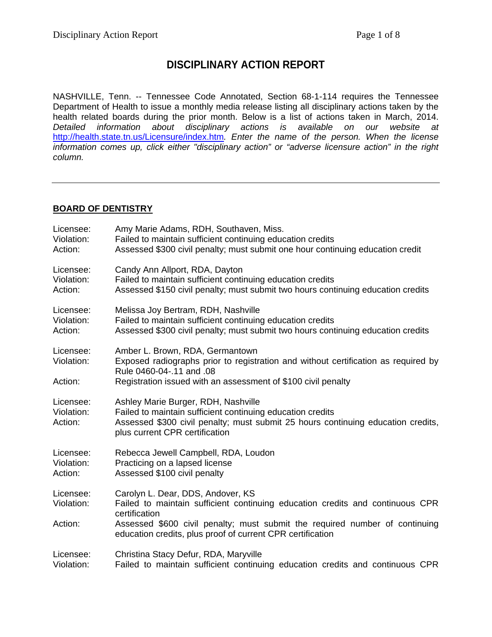# **DISCIPLINARY ACTION REPORT**

NASHVILLE, Tenn. -- Tennessee Code Annotated, Section 68-1-114 requires the Tennessee Department of Health to issue a monthly media release listing all disciplinary actions taken by the health related boards during the prior month. Below is a list of actions taken in March, 2014. *Detailed information about disciplinary actions is available on our website at*  <http://health.state.tn.us/Licensure/index.htm>*. Enter the name of the person. When the license information comes up, click either "disciplinary action" or "adverse licensure action" in the right column.*

#### **BOARD OF DENTISTRY**

| Licensee:                          | Amy Marie Adams, RDH, Southaven, Miss.                                                                                                                                                                                  |
|------------------------------------|-------------------------------------------------------------------------------------------------------------------------------------------------------------------------------------------------------------------------|
| Violation:                         | Failed to maintain sufficient continuing education credits                                                                                                                                                              |
| Action:                            | Assessed \$300 civil penalty; must submit one hour continuing education credit                                                                                                                                          |
| Licensee:                          | Candy Ann Allport, RDA, Dayton                                                                                                                                                                                          |
| Violation:                         | Failed to maintain sufficient continuing education credits                                                                                                                                                              |
| Action:                            | Assessed \$150 civil penalty; must submit two hours continuing education credits                                                                                                                                        |
| Licensee:                          | Melissa Joy Bertram, RDH, Nashville                                                                                                                                                                                     |
| Violation:                         | Failed to maintain sufficient continuing education credits                                                                                                                                                              |
| Action:                            | Assessed \$300 civil penalty; must submit two hours continuing education credits                                                                                                                                        |
| Licensee:<br>Violation:            | Amber L. Brown, RDA, Germantown<br>Exposed radiographs prior to registration and without certification as required by<br>Rule 0460-04-.11 and .08                                                                       |
| Action:                            | Registration issued with an assessment of \$100 civil penalty                                                                                                                                                           |
| Licensee:<br>Violation:<br>Action: | Ashley Marie Burger, RDH, Nashville<br>Failed to maintain sufficient continuing education credits<br>Assessed \$300 civil penalty; must submit 25 hours continuing education credits,<br>plus current CPR certification |
| Licensee:                          | Rebecca Jewell Campbell, RDA, Loudon                                                                                                                                                                                    |
| Violation:                         | Practicing on a lapsed license                                                                                                                                                                                          |
| Action:                            | Assessed \$100 civil penalty                                                                                                                                                                                            |
| Licensee:<br>Violation:            | Carolyn L. Dear, DDS, Andover, KS<br>Failed to maintain sufficient continuing education credits and continuous CPR<br>certification                                                                                     |
| Action:                            | Assessed \$600 civil penalty; must submit the required number of continuing<br>education credits, plus proof of current CPR certification                                                                               |
| Licensee:                          | Christina Stacy Defur, RDA, Maryville                                                                                                                                                                                   |
| Violation:                         | Failed to maintain sufficient continuing education credits and continuous CPR                                                                                                                                           |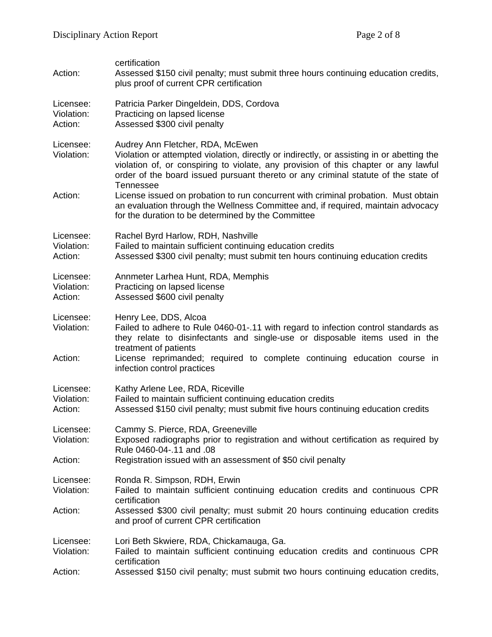| Action:                            | certification<br>Assessed \$150 civil penalty; must submit three hours continuing education credits,<br>plus proof of current CPR certification                                                                                                                                                                                |
|------------------------------------|--------------------------------------------------------------------------------------------------------------------------------------------------------------------------------------------------------------------------------------------------------------------------------------------------------------------------------|
| Licensee:<br>Violation:<br>Action: | Patricia Parker Dingeldein, DDS, Cordova<br>Practicing on lapsed license<br>Assessed \$300 civil penalty                                                                                                                                                                                                                       |
| Licensee:<br>Violation:            | Audrey Ann Fletcher, RDA, McEwen<br>Violation or attempted violation, directly or indirectly, or assisting in or abetting the<br>violation of, or conspiring to violate, any provision of this chapter or any lawful<br>order of the board issued pursuant thereto or any criminal statute of the state of                     |
| Action:                            | Tennessee<br>License issued on probation to run concurrent with criminal probation. Must obtain<br>an evaluation through the Wellness Committee and, if required, maintain advocacy<br>for the duration to be determined by the Committee                                                                                      |
| Licensee:<br>Violation:<br>Action: | Rachel Byrd Harlow, RDH, Nashville<br>Failed to maintain sufficient continuing education credits<br>Assessed \$300 civil penalty; must submit ten hours continuing education credits                                                                                                                                           |
| Licensee:<br>Violation:<br>Action: | Annmeter Larhea Hunt, RDA, Memphis<br>Practicing on lapsed license<br>Assessed \$600 civil penalty                                                                                                                                                                                                                             |
| Licensee:<br>Violation:<br>Action: | Henry Lee, DDS, Alcoa<br>Failed to adhere to Rule 0460-01-.11 with regard to infection control standards as<br>they relate to disinfectants and single-use or disposable items used in the<br>treatment of patients<br>License reprimanded; required to complete continuing education course in<br>infection control practices |
| Licensee:<br>Violation:<br>Action: | Kathy Arlene Lee, RDA, Riceville<br>Failed to maintain sufficient continuing education credits<br>Assessed \$150 civil penalty; must submit five hours continuing education credits                                                                                                                                            |
| Licensee:<br>Violation:<br>Action: | Cammy S. Pierce, RDA, Greeneville<br>Exposed radiographs prior to registration and without certification as required by<br>Rule 0460-04-.11 and .08<br>Registration issued with an assessment of \$50 civil penalty                                                                                                            |
| Licensee:<br>Violation:            | Ronda R. Simpson, RDH, Erwin<br>Failed to maintain sufficient continuing education credits and continuous CPR<br>certification                                                                                                                                                                                                 |
| Action:                            | Assessed \$300 civil penalty; must submit 20 hours continuing education credits<br>and proof of current CPR certification                                                                                                                                                                                                      |
| Licensee:<br>Violation:            | Lori Beth Skwiere, RDA, Chickamauga, Ga.<br>Failed to maintain sufficient continuing education credits and continuous CPR<br>certification                                                                                                                                                                                     |
| Action:                            | Assessed \$150 civil penalty; must submit two hours continuing education credits,                                                                                                                                                                                                                                              |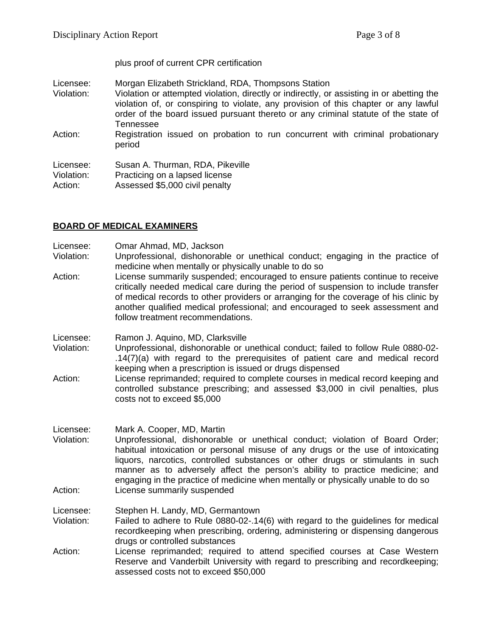plus proof of current CPR certification

- Licensee: Morgan Elizabeth Strickland, RDA, Thompsons Station<br>Violation: Violation or attempted violation, directly or indirectly, or
- Violation or attempted violation, directly or indirectly, or assisting in or abetting the violation of, or conspiring to violate, any provision of this chapter or any lawful order of the board issued pursuant thereto or any criminal statute of the state of Tennessee
- Action: Registration issued on probation to run concurrent with criminal probationary period

| Licensee:  | Susan A. Thurman, RDA, Pikeville |
|------------|----------------------------------|
| Violation: | Practicing on a lapsed license   |
| Action:    | Assessed \$5,000 civil penalty   |

#### **BOARD OF MEDICAL EXAMINERS**

Licensee: Omar Ahmad, MD, Jackson

- Violation: Unprofessional, dishonorable or unethical conduct; engaging in the practice of medicine when mentally or physically unable to do so
- Action: License summarily suspended; encouraged to ensure patients continue to receive critically needed medical care during the period of suspension to include transfer of medical records to other providers or arranging for the coverage of his clinic by another qualified medical professional; and encouraged to seek assessment and follow treatment recommendations.
- Licensee: Ramon J. Aquino, MD, Clarksville
- Violation: Unprofessional, dishonorable or unethical conduct; failed to follow Rule 0880-02- .14(7)(a) with regard to the prerequisites of patient care and medical record keeping when a prescription is issued or drugs dispensed
- Action: License reprimanded; required to complete courses in medical record keeping and controlled substance prescribing; and assessed \$3,000 in civil penalties, plus costs not to exceed \$5,000
- Licensee: Mark A. Cooper, MD, Martin
- Violation: Unprofessional, dishonorable or unethical conduct; violation of Board Order; habitual intoxication or personal misuse of any drugs or the use of intoxicating liquors, narcotics, controlled substances or other drugs or stimulants in such manner as to adversely affect the person's ability to practice medicine; and engaging in the practice of medicine when mentally or physically unable to do so Action: License summarily suspended
- Licensee: Stephen H. Landy, MD, Germantown
- Violation: Failed to adhere to Rule 0880-02-.14(6) with regard to the guidelines for medical recordkeeping when prescribing, ordering, administering or dispensing dangerous drugs or controlled substances
- Action: License reprimanded; required to attend specified courses at Case Western Reserve and Vanderbilt University with regard to prescribing and recordkeeping; assessed costs not to exceed \$50,000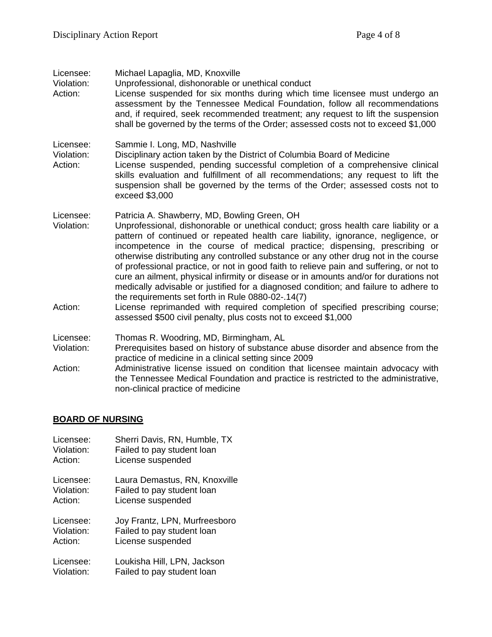| Licensee:<br>Violation:<br>Action: | Michael Lapaglia, MD, Knoxville<br>Unprofessional, dishonorable or unethical conduct<br>License suspended for six months during which time licensee must undergo an<br>assessment by the Tennessee Medical Foundation, follow all recommendations<br>and, if required, seek recommended treatment; any request to lift the suspension<br>shall be governed by the terms of the Order; assessed costs not to exceed \$1,000                                                                                                                                                                                                                                                                                                                                                                                      |
|------------------------------------|-----------------------------------------------------------------------------------------------------------------------------------------------------------------------------------------------------------------------------------------------------------------------------------------------------------------------------------------------------------------------------------------------------------------------------------------------------------------------------------------------------------------------------------------------------------------------------------------------------------------------------------------------------------------------------------------------------------------------------------------------------------------------------------------------------------------|
| Licensee:<br>Violation:<br>Action: | Sammie I. Long, MD, Nashville<br>Disciplinary action taken by the District of Columbia Board of Medicine<br>License suspended, pending successful completion of a comprehensive clinical<br>skills evaluation and fulfillment of all recommendations; any request to lift the<br>suspension shall be governed by the terms of the Order; assessed costs not to<br>exceed \$3,000                                                                                                                                                                                                                                                                                                                                                                                                                                |
| Licensee:<br>Violation:<br>Action: | Patricia A. Shawberry, MD, Bowling Green, OH<br>Unprofessional, dishonorable or unethical conduct; gross health care liability or a<br>pattern of continued or repeated health care liability, ignorance, negligence, or<br>incompetence in the course of medical practice; dispensing, prescribing or<br>otherwise distributing any controlled substance or any other drug not in the course<br>of professional practice, or not in good faith to relieve pain and suffering, or not to<br>cure an ailment, physical infirmity or disease or in amounts and/or for durations not<br>medically advisable or justified for a diagnosed condition; and failure to adhere to<br>the requirements set forth in Rule 0880-02-.14(7)<br>License reprimanded with required completion of specified prescribing course; |
|                                    | assessed \$500 civil penalty, plus costs not to exceed \$1,000                                                                                                                                                                                                                                                                                                                                                                                                                                                                                                                                                                                                                                                                                                                                                  |
| Licensee:                          | Thomas R. Woodring, MD, Birmingham, AL                                                                                                                                                                                                                                                                                                                                                                                                                                                                                                                                                                                                                                                                                                                                                                          |
| Violation:                         | Prerequisites based on history of substance abuse disorder and absence from the<br>practice of medicine in a clinical setting since 2009                                                                                                                                                                                                                                                                                                                                                                                                                                                                                                                                                                                                                                                                        |
| Action:                            | Administrative license issued on condition that licensee maintain advocacy with<br>the Tennessee Medical Foundation and practice is restricted to the administrative,<br>non-clinical practice of medicine                                                                                                                                                                                                                                                                                                                                                                                                                                                                                                                                                                                                      |

# **BOARD OF NURSING**

| Licensee:  | Sherri Davis, RN, Humble, TX  |
|------------|-------------------------------|
| Violation: | Failed to pay student loan    |
| Action:    | License suspended             |
| Licensee:  | Laura Demastus, RN, Knoxville |
| Violation: | Failed to pay student loan    |
| Action:    | License suspended             |
| Licensee:  | Joy Frantz, LPN, Murfreesboro |
| Violation: | Failed to pay student loan    |
| Action:    | License suspended             |
| Licensee:  | Loukisha Hill, LPN, Jackson   |
| Violation: | Failed to pay student loan    |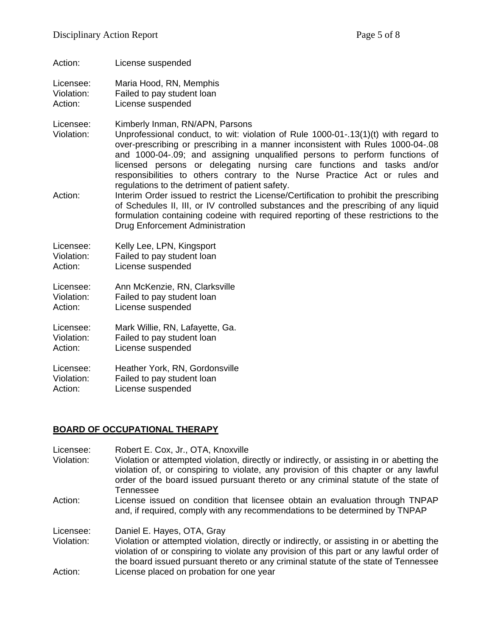- Action: License suspended
- Licensee: Maria Hood, RN, Memphis Violation: Failed to pay student loan

Action: License suspended

Licensee: Kimberly Inman, RN/APN, Parsons

Violation: Unprofessional conduct, to wit: violation of Rule 1000-01-.13(1)(t) with regard to over-prescribing or prescribing in a manner inconsistent with Rules 1000-04-.08 and 1000-04-.09; and assigning unqualified persons to perform functions of licensed persons or delegating nursing care functions and tasks and/or responsibilities to others contrary to the Nurse Practice Act or rules and regulations to the detriment of patient safety.

Action: Interim Order issued to restrict the License/Certification to prohibit the prescribing of Schedules II, III, or IV controlled substances and the prescribing of any liquid formulation containing codeine with required reporting of these restrictions to the Drug Enforcement Administration

Licensee: Kelly Lee, LPN, Kingsport Violation: Failed to pay student loan Action: License suspended

Licensee: Ann McKenzie, RN, Clarksville Violation: Failed to pay student loan<br>Action: Ficense suspended License suspended

Licensee: Mark Willie, RN, Lafayette, Ga. Violation: Failed to pay student loan Action: License suspended

Licensee: Heather York, RN, Gordonsville Violation: Failed to pay student loan Action: License suspended

### **BOARD OF OCCUPATIONAL THERAPY**

Licensee: Robert E. Cox, Jr., OTA, Knoxville<br>Violation: Violation or attempted violation. di Violation or attempted violation, directly or indirectly, or assisting in or abetting the violation of, or conspiring to violate, any provision of this chapter or any lawful order of the board issued pursuant thereto or any criminal statute of the state of Tennessee Action: License issued on condition that licensee obtain an evaluation through TNPAP and, if required, comply with any recommendations to be determined by TNPAP Licensee: Daniel E. Hayes, OTA, Gray<br>Violation: Violation or attempted violati Violation or attempted violation, directly or indirectly, or assisting in or abetting the violation of or conspiring to violate any provision of this part or any lawful order of the board issued pursuant thereto or any criminal statute of the state of Tennessee Action: License placed on probation for one year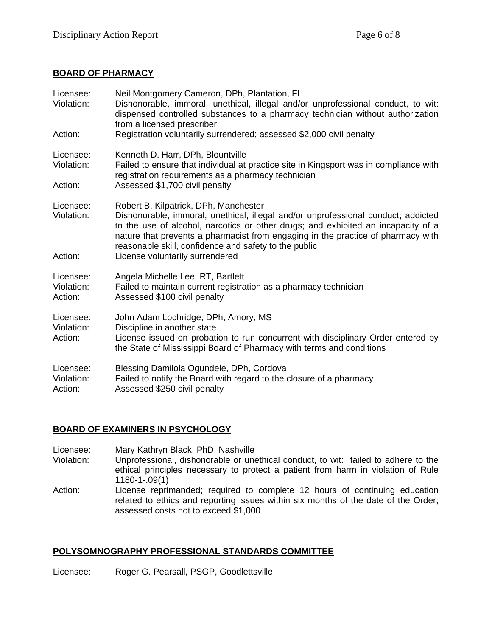### **BOARD OF PHARMACY**

| Licensee:<br>Violation:            | Neil Montgomery Cameron, DPh, Plantation, FL<br>Dishonorable, immoral, unethical, illegal and/or unprofessional conduct, to wit:<br>dispensed controlled substances to a pharmacy technician without authorization<br>from a licensed prescriber                                                                                                                                                |
|------------------------------------|-------------------------------------------------------------------------------------------------------------------------------------------------------------------------------------------------------------------------------------------------------------------------------------------------------------------------------------------------------------------------------------------------|
| Action:                            | Registration voluntarily surrendered; assessed \$2,000 civil penalty                                                                                                                                                                                                                                                                                                                            |
| Licensee:<br>Violation:<br>Action: | Kenneth D. Harr, DPh, Blountville<br>Failed to ensure that individual at practice site in Kingsport was in compliance with<br>registration requirements as a pharmacy technician<br>Assessed \$1,700 civil penalty                                                                                                                                                                              |
|                                    |                                                                                                                                                                                                                                                                                                                                                                                                 |
| Licensee:<br>Violation:<br>Action: | Robert B. Kilpatrick, DPh, Manchester<br>Dishonorable, immoral, unethical, illegal and/or unprofessional conduct; addicted<br>to the use of alcohol, narcotics or other drugs; and exhibited an incapacity of a<br>nature that prevents a pharmacist from engaging in the practice of pharmacy with<br>reasonable skill, confidence and safety to the public<br>License voluntarily surrendered |
| Licensee:<br>Violation:<br>Action: | Angela Michelle Lee, RT, Bartlett<br>Failed to maintain current registration as a pharmacy technician<br>Assessed \$100 civil penalty                                                                                                                                                                                                                                                           |
| Licensee:<br>Violation:<br>Action: | John Adam Lochridge, DPh, Amory, MS<br>Discipline in another state<br>License issued on probation to run concurrent with disciplinary Order entered by<br>the State of Mississippi Board of Pharmacy with terms and conditions                                                                                                                                                                  |
| Licensee:<br>Violation:<br>Action: | Blessing Damilola Ogundele, DPh, Cordova<br>Failed to notify the Board with regard to the closure of a pharmacy<br>Assessed \$250 civil penalty                                                                                                                                                                                                                                                 |

### **BOARD OF EXAMINERS IN PSYCHOLOGY**

- Licensee: Mary Kathryn Black, PhD, Nashville<br>Violation: Unprofessional, dishonorable or une
- Unprofessional, dishonorable or unethical conduct, to wit: failed to adhere to the ethical principles necessary to protect a patient from harm in violation of Rule 1180-1-.09(1)
- Action: License reprimanded; required to complete 12 hours of continuing education related to ethics and reporting issues within six months of the date of the Order; assessed costs not to exceed \$1,000

### **POLYSOMNOGRAPHY PROFESSIONAL STANDARDS COMMITTEE**

Licensee: Roger G. Pearsall, PSGP, Goodlettsville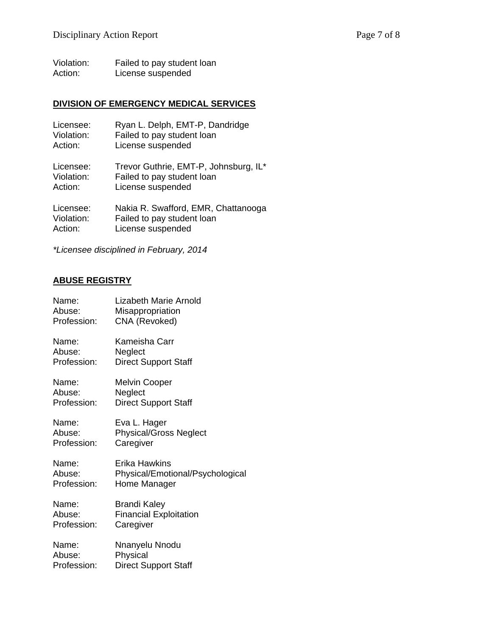Violation: Failed to pay student loan Action: License suspended

# **DIVISION OF EMERGENCY MEDICAL SERVICES**

| Licensee:  | Ryan L. Delph, EMT-P, Dandridge       |
|------------|---------------------------------------|
| Violation: | Failed to pay student loan            |
| Action:    | License suspended                     |
| Licensee:  | Trevor Guthrie, EMT-P, Johnsburg, IL* |
| Violation: | Failed to pay student loan            |
| Action:    | License suspended                     |
| Licensee:  | Nakia R. Swafford, EMR, Chattanooga   |
| Violation: | Failed to pay student loan            |
| Action:    | License suspended                     |

*\*Licensee disciplined in February, 2014*

#### **ABUSE REGISTRY**

| Name:       | <b>Lizabeth Marie Arnold</b>     |
|-------------|----------------------------------|
| Abuse:      | Misappropriation                 |
| Profession: | CNA (Revoked)                    |
| Name:       | Kameisha Carr                    |
| Abuse:      | Neglect                          |
| Profession: | <b>Direct Support Staff</b>      |
| Name:       | <b>Melvin Cooper</b>             |
| Abuse:      | Neglect                          |
| Profession: | <b>Direct Support Staff</b>      |
| Name:       | Eva L. Hager                     |
| Abuse:      | <b>Physical/Gross Neglect</b>    |
| Profession: | Caregiver                        |
| Name:       | Erika Hawkins                    |
| Abuse:      | Physical/Emotional/Psychological |
| Profession: | Home Manager                     |
| Name:       | <b>Brandi Kaley</b>              |
| Abuse:      | <b>Financial Exploitation</b>    |
| Profession: | Caregiver                        |
| Name:       | Nnanyelu Nnodu                   |
| Abuse:      | Physical                         |
| Profession: | <b>Direct Support Staff</b>      |